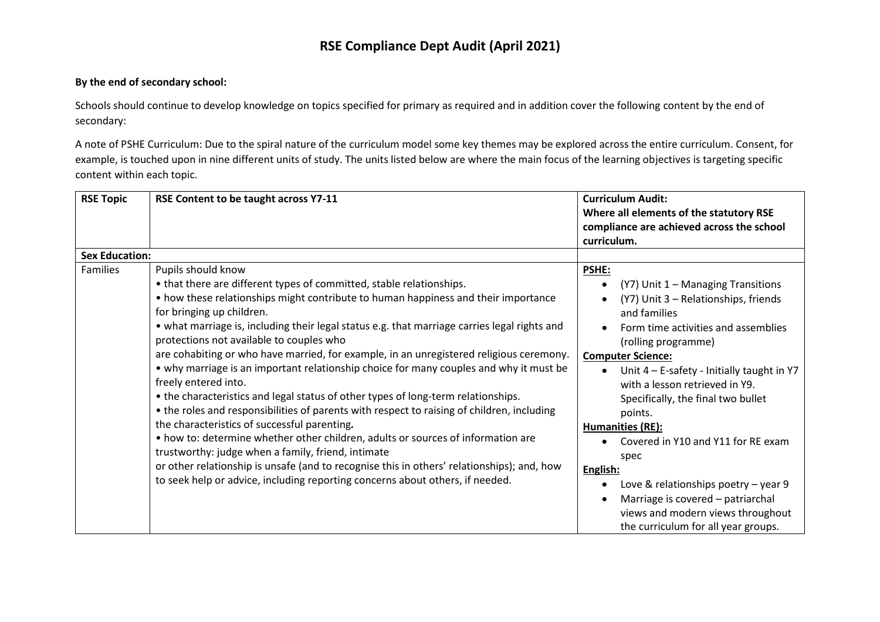## **RSE Compliance Dept Audit (April 2021)**

## **By the end of secondary school:**

Schools should continue to develop knowledge on topics specified for primary as required and in addition cover the following content by the end of secondary:

A note of PSHE Curriculum: Due to the spiral nature of the curriculum model some key themes may be explored across the entire curriculum. Consent, for example, is touched upon in nine different units of study. The units listed below are where the main focus of the learning objectives is targeting specific content within each topic.

| <b>RSE Topic</b>      | RSE Content to be taught across Y7-11                                                                                                                                                                                                                                                                                                                                                                                                                                                                                                                                                                                                                                                                                                                                                                                                                                                                                                                                                                                                                                                                                              | <b>Curriculum Audit:</b><br>Where all elements of the statutory RSE<br>compliance are achieved across the school<br>curriculum.                                                                                                                                                                                                                                                                                                                                                                                                                                                                      |
|-----------------------|------------------------------------------------------------------------------------------------------------------------------------------------------------------------------------------------------------------------------------------------------------------------------------------------------------------------------------------------------------------------------------------------------------------------------------------------------------------------------------------------------------------------------------------------------------------------------------------------------------------------------------------------------------------------------------------------------------------------------------------------------------------------------------------------------------------------------------------------------------------------------------------------------------------------------------------------------------------------------------------------------------------------------------------------------------------------------------------------------------------------------------|------------------------------------------------------------------------------------------------------------------------------------------------------------------------------------------------------------------------------------------------------------------------------------------------------------------------------------------------------------------------------------------------------------------------------------------------------------------------------------------------------------------------------------------------------------------------------------------------------|
| <b>Sex Education:</b> |                                                                                                                                                                                                                                                                                                                                                                                                                                                                                                                                                                                                                                                                                                                                                                                                                                                                                                                                                                                                                                                                                                                                    |                                                                                                                                                                                                                                                                                                                                                                                                                                                                                                                                                                                                      |
| Families              | Pupils should know<br>• that there are different types of committed, stable relationships.<br>• how these relationships might contribute to human happiness and their importance<br>for bringing up children.<br>• what marriage is, including their legal status e.g. that marriage carries legal rights and<br>protections not available to couples who<br>are cohabiting or who have married, for example, in an unregistered religious ceremony.<br>. why marriage is an important relationship choice for many couples and why it must be<br>freely entered into.<br>• the characteristics and legal status of other types of long-term relationships.<br>• the roles and responsibilities of parents with respect to raising of children, including<br>the characteristics of successful parenting.<br>• how to: determine whether other children, adults or sources of information are<br>trustworthy: judge when a family, friend, intimate<br>or other relationship is unsafe (and to recognise this in others' relationships); and, how<br>to seek help or advice, including reporting concerns about others, if needed. | PSHE:<br>(Y7) Unit 1 - Managing Transitions<br>(Y7) Unit 3 - Relationships, friends<br>and families<br>Form time activities and assemblies<br>(rolling programme)<br><b>Computer Science:</b><br>Unit $4 - E$ -safety - Initially taught in Y7<br>$\bullet$<br>with a lesson retrieved in Y9.<br>Specifically, the final two bullet<br>points.<br>Humanities (RE):<br>Covered in Y10 and Y11 for RE exam<br>spec<br>English:<br>Love & relationships poetry $-$ year 9<br>$\bullet$<br>Marriage is covered - patriarchal<br>views and modern views throughout<br>the curriculum for all year groups. |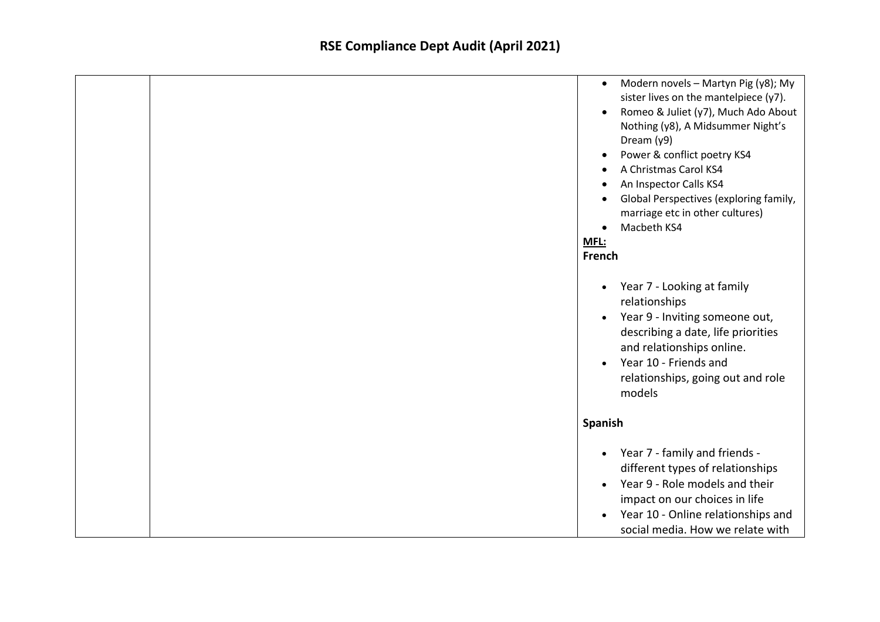|  | Modern novels - Martyn Pig (y8); My<br>$\bullet$<br>sister lives on the mantelpiece (y7).<br>Romeo & Juliet (y7), Much Ado About<br>$\bullet$<br>Nothing (y8), A Midsummer Night's<br>Dream (y9)<br>Power & conflict poetry KS4<br>A Christmas Carol KS4<br>An Inspector Calls KS4<br>Global Perspectives (exploring family,<br>marriage etc in other cultures)<br>Macbeth KS4<br>MFL:<br>French |
|--|--------------------------------------------------------------------------------------------------------------------------------------------------------------------------------------------------------------------------------------------------------------------------------------------------------------------------------------------------------------------------------------------------|
|  | Year 7 - Looking at family<br>relationships<br>Year 9 - Inviting someone out,<br>$\bullet$<br>describing a date, life priorities<br>and relationships online.<br>Year 10 - Friends and<br>relationships, going out and role<br>models                                                                                                                                                            |
|  | Spanish                                                                                                                                                                                                                                                                                                                                                                                          |
|  | Year 7 - family and friends -<br>different types of relationships<br>Year 9 - Role models and their<br>impact on our choices in life<br>Year 10 - Online relationships and<br>social media. How we relate with                                                                                                                                                                                   |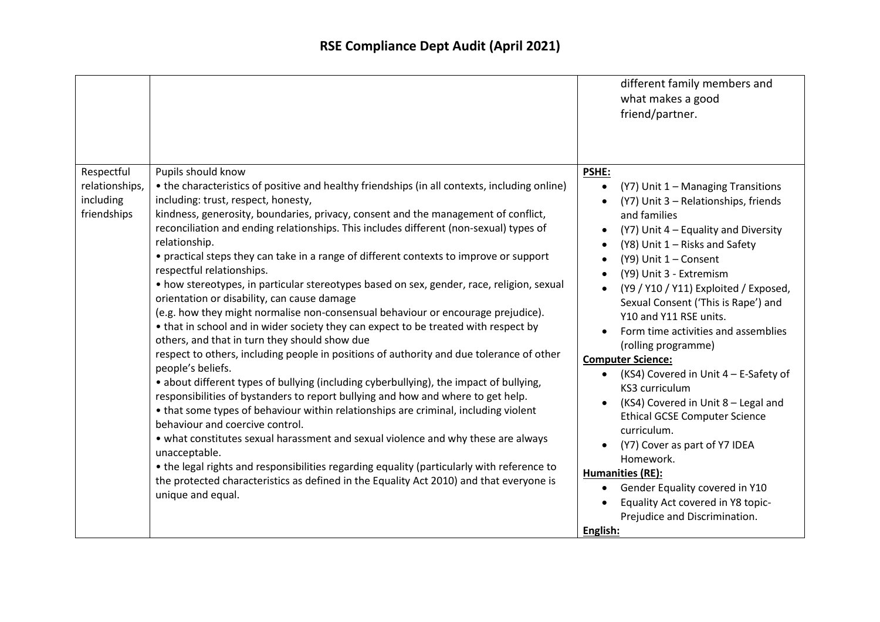|                                                          |                                                                                                                                                                                                                                                                                                                                                                                                                                                                                                                                                                                                                                                                                                                                                                                                                                                                                                                                                                                                                                                                                                                                                                                                                                                                                                                                                                                                                                                                                                                                                                                                         | different family members and<br>what makes a good<br>friend/partner.                                                                                                                                                                                                                                                                                                                                                                                                                                                                                                                                                                                                                                                                                                                                                                                                      |
|----------------------------------------------------------|---------------------------------------------------------------------------------------------------------------------------------------------------------------------------------------------------------------------------------------------------------------------------------------------------------------------------------------------------------------------------------------------------------------------------------------------------------------------------------------------------------------------------------------------------------------------------------------------------------------------------------------------------------------------------------------------------------------------------------------------------------------------------------------------------------------------------------------------------------------------------------------------------------------------------------------------------------------------------------------------------------------------------------------------------------------------------------------------------------------------------------------------------------------------------------------------------------------------------------------------------------------------------------------------------------------------------------------------------------------------------------------------------------------------------------------------------------------------------------------------------------------------------------------------------------------------------------------------------------|---------------------------------------------------------------------------------------------------------------------------------------------------------------------------------------------------------------------------------------------------------------------------------------------------------------------------------------------------------------------------------------------------------------------------------------------------------------------------------------------------------------------------------------------------------------------------------------------------------------------------------------------------------------------------------------------------------------------------------------------------------------------------------------------------------------------------------------------------------------------------|
| Respectful<br>relationships,<br>including<br>friendships | Pupils should know<br>• the characteristics of positive and healthy friendships (in all contexts, including online)<br>including: trust, respect, honesty,<br>kindness, generosity, boundaries, privacy, consent and the management of conflict,<br>reconciliation and ending relationships. This includes different (non-sexual) types of<br>relationship.<br>• practical steps they can take in a range of different contexts to improve or support<br>respectful relationships.<br>• how stereotypes, in particular stereotypes based on sex, gender, race, religion, sexual<br>orientation or disability, can cause damage<br>(e.g. how they might normalise non-consensual behaviour or encourage prejudice).<br>• that in school and in wider society they can expect to be treated with respect by<br>others, and that in turn they should show due<br>respect to others, including people in positions of authority and due tolerance of other<br>people's beliefs.<br>• about different types of bullying (including cyberbullying), the impact of bullying,<br>responsibilities of bystanders to report bullying and how and where to get help.<br>• that some types of behaviour within relationships are criminal, including violent<br>behaviour and coercive control.<br>. what constitutes sexual harassment and sexual violence and why these are always<br>unacceptable.<br>. the legal rights and responsibilities regarding equality (particularly with reference to<br>the protected characteristics as defined in the Equality Act 2010) and that everyone is<br>unique and equal. | <b>PSHE:</b><br>(Y7) Unit 1 - Managing Transitions<br>$\bullet$<br>(Y7) Unit 3 - Relationships, friends<br>and families<br>(Y7) Unit 4 – Equality and Diversity<br>$\bullet$<br>(Y8) Unit 1 - Risks and Safety<br>(Y9) Unit 1 - Consent<br>(Y9) Unit 3 - Extremism<br>$\bullet$<br>(Y9 / Y10 / Y11) Exploited / Exposed,<br>$\bullet$<br>Sexual Consent ('This is Rape') and<br>Y10 and Y11 RSE units.<br>Form time activities and assemblies<br>(rolling programme)<br><b>Computer Science:</b><br>(KS4) Covered in Unit 4 - E-Safety of<br>KS3 curriculum<br>(KS4) Covered in Unit 8 - Legal and<br><b>Ethical GCSE Computer Science</b><br>curriculum.<br>(Y7) Cover as part of Y7 IDEA<br>$\bullet$<br>Homework.<br>Humanities (RE):<br>Gender Equality covered in Y10<br>$\bullet$<br>Equality Act covered in Y8 topic-<br>Prejudice and Discrimination.<br>English: |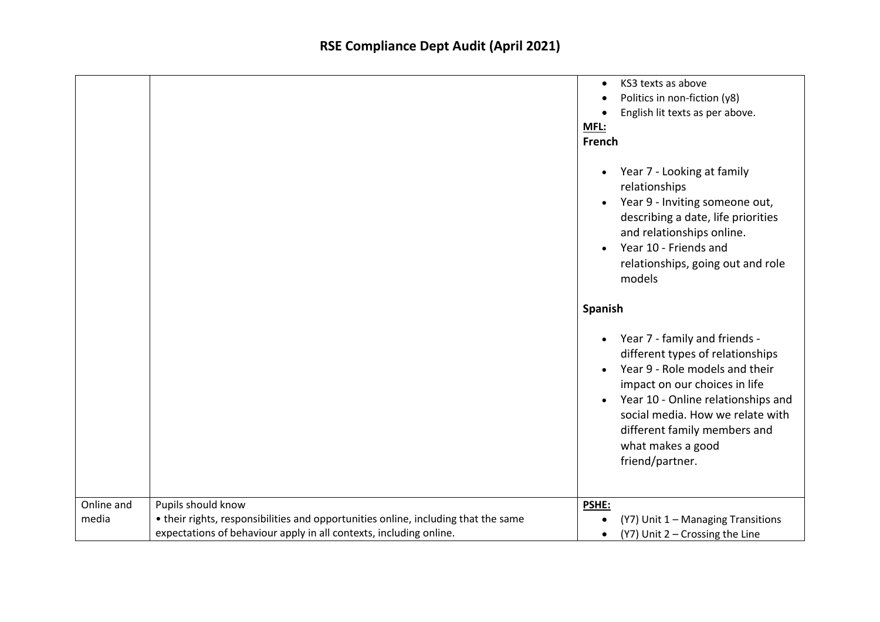|                     |                                                                                                                                                                                | KS3 texts as above<br>$\bullet$<br>Politics in non-fiction (y8)<br>English lit texts as per above.<br>MFL:<br>French                                                                                                                                                                   |
|---------------------|--------------------------------------------------------------------------------------------------------------------------------------------------------------------------------|----------------------------------------------------------------------------------------------------------------------------------------------------------------------------------------------------------------------------------------------------------------------------------------|
|                     |                                                                                                                                                                                | Year 7 - Looking at family<br>relationships<br>Year 9 - Inviting someone out,<br>$\bullet$<br>describing a date, life priorities<br>and relationships online.<br>Year 10 - Friends and<br>relationships, going out and role<br>models                                                  |
|                     |                                                                                                                                                                                | Spanish                                                                                                                                                                                                                                                                                |
|                     |                                                                                                                                                                                | Year 7 - family and friends -<br>different types of relationships<br>Year 9 - Role models and their<br>impact on our choices in life<br>Year 10 - Online relationships and<br>social media. How we relate with<br>different family members and<br>what makes a good<br>friend/partner. |
| Online and<br>media | Pupils should know<br>• their rights, responsibilities and opportunities online, including that the same<br>expectations of behaviour apply in all contexts, including online. | PSHE:<br>(Y7) Unit 1 - Managing Transitions<br>$(Y7)$ Unit 2 – Crossing the Line                                                                                                                                                                                                       |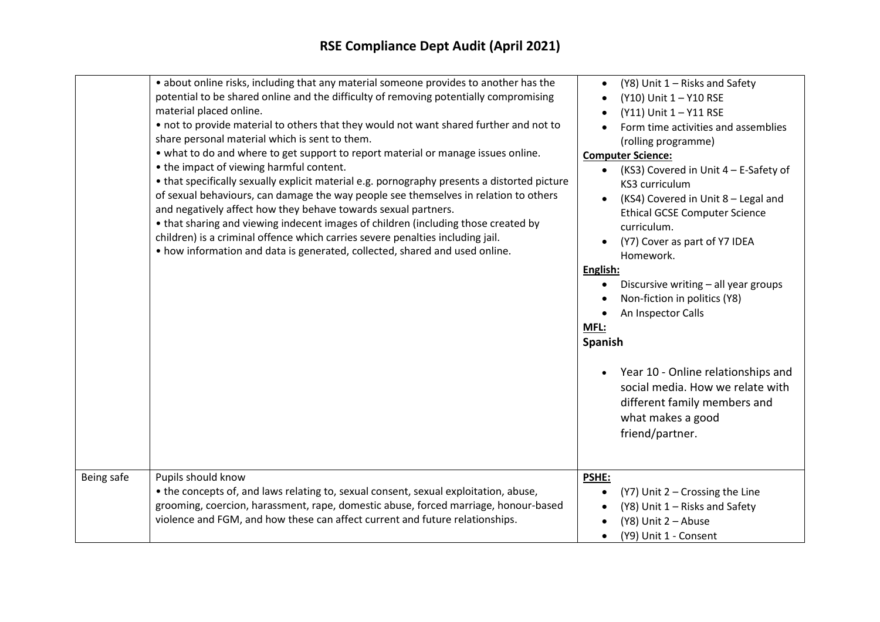|            | . about online risks, including that any material someone provides to another has the<br>potential to be shared online and the difficulty of removing potentially compromising<br>material placed online.<br>• not to provide material to others that they would not want shared further and not to<br>share personal material which is sent to them.<br>• what to do and where to get support to report material or manage issues online.<br>• the impact of viewing harmful content.<br>• that specifically sexually explicit material e.g. pornography presents a distorted picture<br>of sexual behaviours, can damage the way people see themselves in relation to others<br>and negatively affect how they behave towards sexual partners.<br>• that sharing and viewing indecent images of children (including those created by<br>children) is a criminal offence which carries severe penalties including jail.<br>• how information and data is generated, collected, shared and used online. | (Y8) Unit 1 - Risks and Safety<br>$\bullet$<br>(Y10) Unit 1 - Y10 RSE<br>$\bullet$<br>(Y11) Unit 1 - Y11 RSE<br>$\bullet$<br>Form time activities and assemblies<br>(rolling programme)<br><b>Computer Science:</b><br>(KS3) Covered in Unit 4 - E-Safety of<br>$\bullet$<br>KS3 curriculum<br>(KS4) Covered in Unit 8 - Legal and<br>$\bullet$<br><b>Ethical GCSE Computer Science</b><br>curriculum.<br>(Y7) Cover as part of Y7 IDEA<br>Homework.<br>English:<br>Discursive writing - all year groups<br>$\bullet$<br>Non-fiction in politics (Y8)<br>$\bullet$<br>An Inspector Calls<br>MFL:<br>Spanish<br>Year 10 - Online relationships and<br>$\bullet$<br>social media. How we relate with<br>different family members and<br>what makes a good<br>friend/partner. |
|------------|---------------------------------------------------------------------------------------------------------------------------------------------------------------------------------------------------------------------------------------------------------------------------------------------------------------------------------------------------------------------------------------------------------------------------------------------------------------------------------------------------------------------------------------------------------------------------------------------------------------------------------------------------------------------------------------------------------------------------------------------------------------------------------------------------------------------------------------------------------------------------------------------------------------------------------------------------------------------------------------------------------|----------------------------------------------------------------------------------------------------------------------------------------------------------------------------------------------------------------------------------------------------------------------------------------------------------------------------------------------------------------------------------------------------------------------------------------------------------------------------------------------------------------------------------------------------------------------------------------------------------------------------------------------------------------------------------------------------------------------------------------------------------------------------|
| Being safe | Pupils should know<br>• the concepts of, and laws relating to, sexual consent, sexual exploitation, abuse,<br>grooming, coercion, harassment, rape, domestic abuse, forced marriage, honour-based<br>violence and FGM, and how these can affect current and future relationships.                                                                                                                                                                                                                                                                                                                                                                                                                                                                                                                                                                                                                                                                                                                       | <b>PSHE:</b><br>(Y7) Unit 2 - Crossing the Line<br>$\bullet$<br>(Y8) Unit 1 - Risks and Safety<br>$\bullet$<br>(Y8) Unit 2 - Abuse<br>$\bullet$<br>(Y9) Unit 1 - Consent                                                                                                                                                                                                                                                                                                                                                                                                                                                                                                                                                                                                   |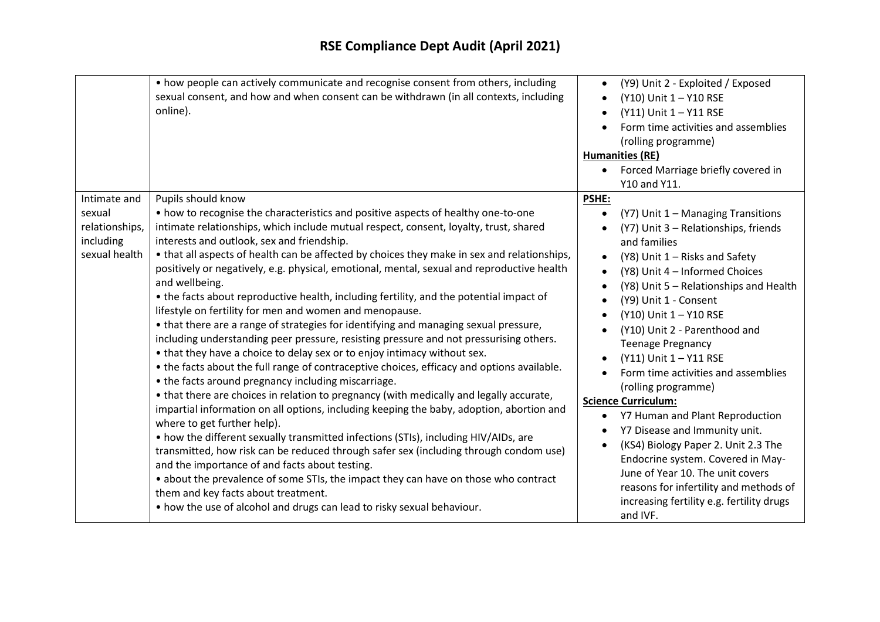|                                                                        | • how people can actively communicate and recognise consent from others, including<br>sexual consent, and how and when consent can be withdrawn (in all contexts, including<br>online).                                                                                                                                                                                                                                                                                                                                                                                                                                                                                                                                                                                                                                                                                                                                                                                                                                                                                                                                                                                                                                                                                                                                                                                                                                                                                                                                                                                                                                                                                                                | (Y9) Unit 2 - Exploited / Exposed<br>$\bullet$<br>(Y10) Unit 1 - Y10 RSE<br>(Y11) Unit 1 - Y11 RSE<br>Form time activities and assemblies<br>(rolling programme)<br><b>Humanities (RE)</b><br>Forced Marriage briefly covered in<br>Y10 and Y11.                                                                                                                                                                                                                                                                                                                                                                                                                                                                                                                   |
|------------------------------------------------------------------------|--------------------------------------------------------------------------------------------------------------------------------------------------------------------------------------------------------------------------------------------------------------------------------------------------------------------------------------------------------------------------------------------------------------------------------------------------------------------------------------------------------------------------------------------------------------------------------------------------------------------------------------------------------------------------------------------------------------------------------------------------------------------------------------------------------------------------------------------------------------------------------------------------------------------------------------------------------------------------------------------------------------------------------------------------------------------------------------------------------------------------------------------------------------------------------------------------------------------------------------------------------------------------------------------------------------------------------------------------------------------------------------------------------------------------------------------------------------------------------------------------------------------------------------------------------------------------------------------------------------------------------------------------------------------------------------------------------|--------------------------------------------------------------------------------------------------------------------------------------------------------------------------------------------------------------------------------------------------------------------------------------------------------------------------------------------------------------------------------------------------------------------------------------------------------------------------------------------------------------------------------------------------------------------------------------------------------------------------------------------------------------------------------------------------------------------------------------------------------------------|
| Intimate and<br>sexual<br>relationships,<br>including<br>sexual health | Pupils should know<br>• how to recognise the characteristics and positive aspects of healthy one-to-one<br>intimate relationships, which include mutual respect, consent, loyalty, trust, shared<br>interests and outlook, sex and friendship.<br>• that all aspects of health can be affected by choices they make in sex and relationships,<br>positively or negatively, e.g. physical, emotional, mental, sexual and reproductive health<br>and wellbeing.<br>• the facts about reproductive health, including fertility, and the potential impact of<br>lifestyle on fertility for men and women and menopause.<br>• that there are a range of strategies for identifying and managing sexual pressure,<br>including understanding peer pressure, resisting pressure and not pressurising others.<br>• that they have a choice to delay sex or to enjoy intimacy without sex.<br>• the facts about the full range of contraceptive choices, efficacy and options available.<br>• the facts around pregnancy including miscarriage.<br>• that there are choices in relation to pregnancy (with medically and legally accurate,<br>impartial information on all options, including keeping the baby, adoption, abortion and<br>where to get further help).<br>• how the different sexually transmitted infections (STIs), including HIV/AIDs, are<br>transmitted, how risk can be reduced through safer sex (including through condom use)<br>and the importance of and facts about testing.<br>• about the prevalence of some STIs, the impact they can have on those who contract<br>them and key facts about treatment.<br>• how the use of alcohol and drugs can lead to risky sexual behaviour. | <b>PSHE:</b><br>(Y7) Unit 1 - Managing Transitions<br>(Y7) Unit 3 - Relationships, friends<br>and families<br>(Y8) Unit 1 - Risks and Safety<br>$\bullet$<br>(Y8) Unit 4 - Informed Choices<br>(Y8) Unit 5 - Relationships and Health<br>(Y9) Unit 1 - Consent<br>(Y10) Unit 1 - Y10 RSE<br>(Y10) Unit 2 - Parenthood and<br><b>Teenage Pregnancy</b><br>(Y11) Unit 1 - Y11 RSE<br>Form time activities and assemblies<br>(rolling programme)<br><b>Science Curriculum:</b><br>Y7 Human and Plant Reproduction<br>Y7 Disease and Immunity unit.<br>(KS4) Biology Paper 2. Unit 2.3 The<br>Endocrine system. Covered in May-<br>June of Year 10. The unit covers<br>reasons for infertility and methods of<br>increasing fertility e.g. fertility drugs<br>and IVF. |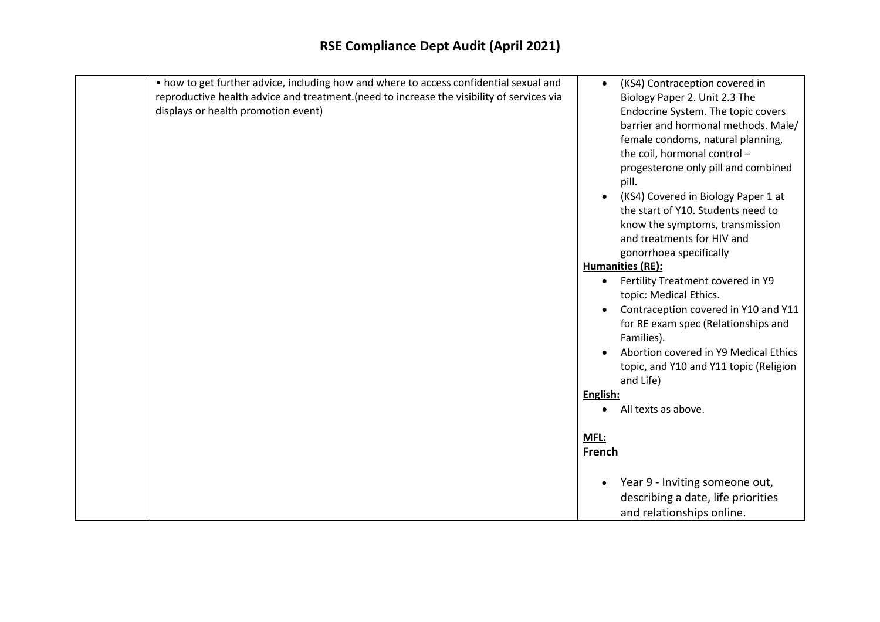| • how to get further advice, including how and where to access confidential sexual and<br>reproductive health advice and treatment. (need to increase the visibility of services via<br>displays or health promotion event) | $\bullet$<br><b>Humanities (RE):</b><br>$\bullet$<br>English:<br>MFL:<br><b>French</b> | (KS4) Contraception covered in<br>Biology Paper 2. Unit 2.3 The<br>Endocrine System. The topic covers<br>barrier and hormonal methods. Male/<br>female condoms, natural planning,<br>the coil, hormonal control-<br>progesterone only pill and combined<br>pill.<br>(KS4) Covered in Biology Paper 1 at<br>the start of Y10. Students need to<br>know the symptoms, transmission<br>and treatments for HIV and<br>gonorrhoea specifically<br>Fertility Treatment covered in Y9<br>topic: Medical Ethics.<br>Contraception covered in Y10 and Y11<br>for RE exam spec (Relationships and<br>Families).<br>Abortion covered in Y9 Medical Ethics<br>topic, and Y10 and Y11 topic (Religion<br>and Life)<br>All texts as above. |
|-----------------------------------------------------------------------------------------------------------------------------------------------------------------------------------------------------------------------------|----------------------------------------------------------------------------------------|------------------------------------------------------------------------------------------------------------------------------------------------------------------------------------------------------------------------------------------------------------------------------------------------------------------------------------------------------------------------------------------------------------------------------------------------------------------------------------------------------------------------------------------------------------------------------------------------------------------------------------------------------------------------------------------------------------------------------|
|                                                                                                                                                                                                                             |                                                                                        | Year 9 - Inviting someone out,<br>describing a date, life priorities<br>and relationships online.                                                                                                                                                                                                                                                                                                                                                                                                                                                                                                                                                                                                                            |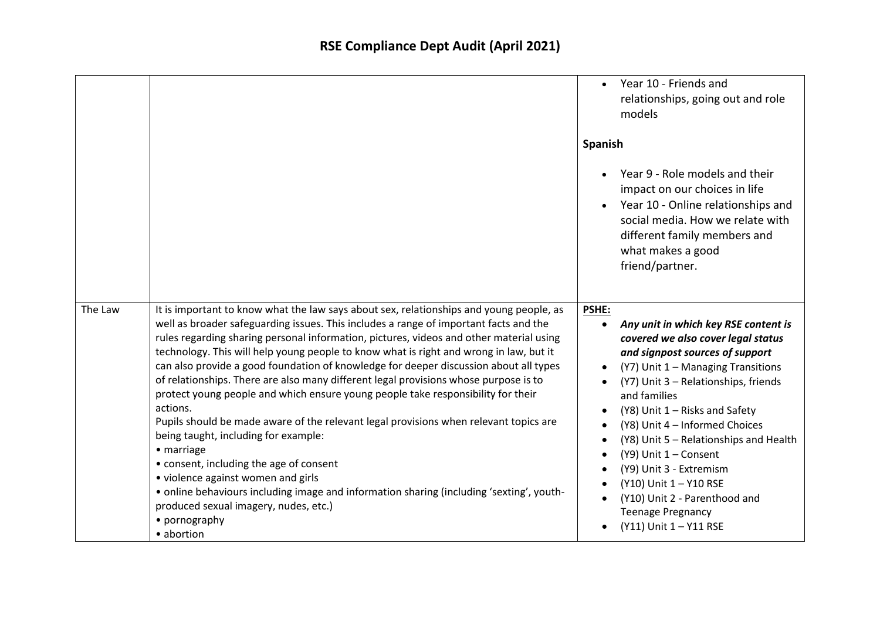|         |                                                                                                                                                                                                                                                                                                                                                                                                                                                                                                                                                                                                                                                                                                                                                                                                                                                                                                                                                                                                                                                            | Year 10 - Friends and<br>$\bullet$<br>relationships, going out and role<br>models                                                                                                                                                                                                                                                                                                                                                                                                                                    |
|---------|------------------------------------------------------------------------------------------------------------------------------------------------------------------------------------------------------------------------------------------------------------------------------------------------------------------------------------------------------------------------------------------------------------------------------------------------------------------------------------------------------------------------------------------------------------------------------------------------------------------------------------------------------------------------------------------------------------------------------------------------------------------------------------------------------------------------------------------------------------------------------------------------------------------------------------------------------------------------------------------------------------------------------------------------------------|----------------------------------------------------------------------------------------------------------------------------------------------------------------------------------------------------------------------------------------------------------------------------------------------------------------------------------------------------------------------------------------------------------------------------------------------------------------------------------------------------------------------|
|         |                                                                                                                                                                                                                                                                                                                                                                                                                                                                                                                                                                                                                                                                                                                                                                                                                                                                                                                                                                                                                                                            | Spanish                                                                                                                                                                                                                                                                                                                                                                                                                                                                                                              |
|         |                                                                                                                                                                                                                                                                                                                                                                                                                                                                                                                                                                                                                                                                                                                                                                                                                                                                                                                                                                                                                                                            | Year 9 - Role models and their<br>impact on our choices in life<br>Year 10 - Online relationships and<br>social media. How we relate with<br>different family members and<br>what makes a good<br>friend/partner.                                                                                                                                                                                                                                                                                                    |
| The Law | It is important to know what the law says about sex, relationships and young people, as<br>well as broader safeguarding issues. This includes a range of important facts and the<br>rules regarding sharing personal information, pictures, videos and other material using<br>technology. This will help young people to know what is right and wrong in law, but it<br>can also provide a good foundation of knowledge for deeper discussion about all types<br>of relationships. There are also many different legal provisions whose purpose is to<br>protect young people and which ensure young people take responsibility for their<br>actions.<br>Pupils should be made aware of the relevant legal provisions when relevant topics are<br>being taught, including for example:<br>• marriage<br>• consent, including the age of consent<br>• violence against women and girls<br>• online behaviours including image and information sharing (including 'sexting', youth-<br>produced sexual imagery, nudes, etc.)<br>• pornography<br>• abortion | PSHE:<br>Any unit in which key RSE content is<br>$\bullet$<br>covered we also cover legal status<br>and signpost sources of support<br>(Y7) Unit 1 - Managing Transitions<br>(Y7) Unit 3 - Relationships, friends<br>and families<br>(Y8) Unit 1 - Risks and Safety<br>(Y8) Unit 4 - Informed Choices<br>(Y8) Unit 5 - Relationships and Health<br>(Y9) Unit 1 - Consent<br>(Y9) Unit 3 - Extremism<br>(Y10) Unit 1 - Y10 RSE<br>(Y10) Unit 2 - Parenthood and<br><b>Teenage Pregnancy</b><br>(Y11) Unit 1 - Y11 RSE |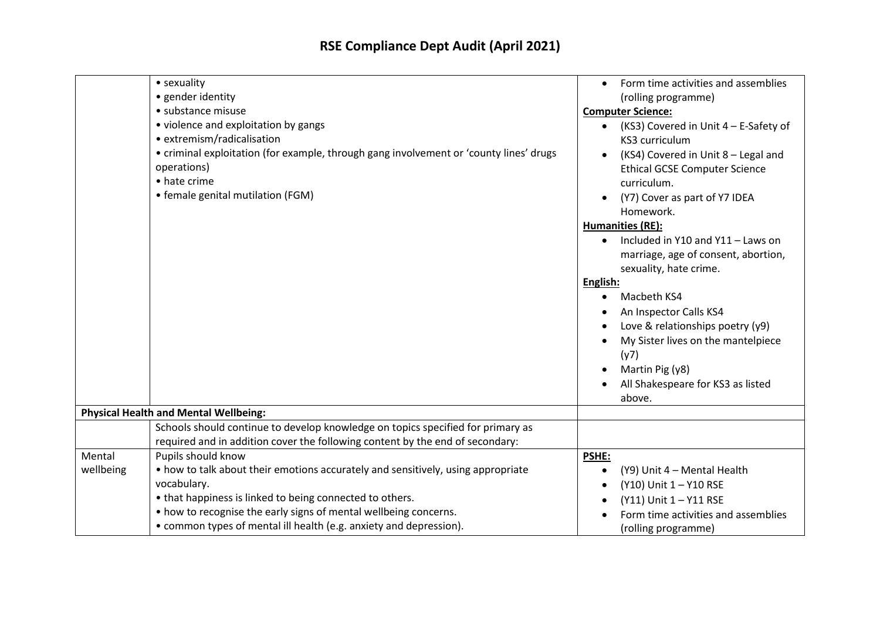|                     | • sexuality<br>· gender identity<br>• substance misuse<br>• violence and exploitation by gangs<br>• extremism/radicalisation<br>• criminal exploitation (for example, through gang involvement or 'county lines' drugs<br>operations)<br>• hate crime<br>• female genital mutilation (FGM)                                  | Form time activities and assemblies<br>(rolling programme)<br><b>Computer Science:</b><br>(KS3) Covered in Unit 4 - E-Safety of<br>KS3 curriculum<br>(KS4) Covered in Unit 8 - Legal and<br><b>Ethical GCSE Computer Science</b><br>curriculum.<br>(Y7) Cover as part of Y7 IDEA<br>Homework.<br><b>Humanities (RE):</b><br>Included in Y10 and Y11 - Laws on |
|---------------------|-----------------------------------------------------------------------------------------------------------------------------------------------------------------------------------------------------------------------------------------------------------------------------------------------------------------------------|---------------------------------------------------------------------------------------------------------------------------------------------------------------------------------------------------------------------------------------------------------------------------------------------------------------------------------------------------------------|
|                     |                                                                                                                                                                                                                                                                                                                             | marriage, age of consent, abortion,<br>sexuality, hate crime.<br>English:<br>Macbeth KS4<br>An Inspector Calls KS4<br>Love & relationships poetry (y9)<br>My Sister lives on the mantelpiece<br>(y7)<br>Martin Pig (y8)<br>All Shakespeare for KS3 as listed<br>above.                                                                                        |
|                     | <b>Physical Health and Mental Wellbeing:</b>                                                                                                                                                                                                                                                                                |                                                                                                                                                                                                                                                                                                                                                               |
|                     | Schools should continue to develop knowledge on topics specified for primary as<br>required and in addition cover the following content by the end of secondary:                                                                                                                                                            |                                                                                                                                                                                                                                                                                                                                                               |
| Mental<br>wellbeing | Pupils should know<br>• how to talk about their emotions accurately and sensitively, using appropriate<br>vocabulary.<br>• that happiness is linked to being connected to others.<br>• how to recognise the early signs of mental wellbeing concerns.<br>• common types of mental ill health (e.g. anxiety and depression). | <b>PSHE:</b><br>(Y9) Unit 4 - Mental Health<br>٠<br>(Y10) Unit 1 - Y10 RSE<br>(Y11) Unit 1 - Y11 RSE<br>Form time activities and assemblies<br>(rolling programme)                                                                                                                                                                                            |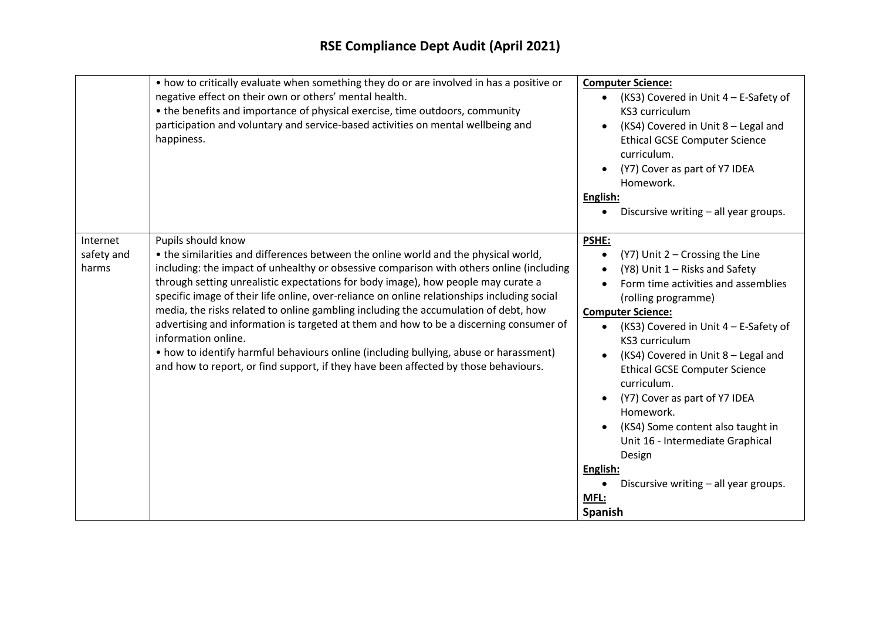|                                 | . how to critically evaluate when something they do or are involved in has a positive or<br>negative effect on their own or others' mental health.<br>• the benefits and importance of physical exercise, time outdoors, community<br>participation and voluntary and service-based activities on mental wellbeing and<br>happiness.                                                                                                                                                                                                                                                                                                                                                                                                                                              | <b>Computer Science:</b><br>(KS3) Covered in Unit 4 - E-Safety of<br>$\bullet$<br>KS3 curriculum<br>(KS4) Covered in Unit 8 - Legal and<br>$\bullet$<br><b>Ethical GCSE Computer Science</b><br>curriculum.<br>(Y7) Cover as part of Y7 IDEA<br>$\bullet$<br>Homework.<br>English:<br>Discursive writing - all year groups.<br>$\bullet$                                                                                                                                                                                                                                                    |
|---------------------------------|-----------------------------------------------------------------------------------------------------------------------------------------------------------------------------------------------------------------------------------------------------------------------------------------------------------------------------------------------------------------------------------------------------------------------------------------------------------------------------------------------------------------------------------------------------------------------------------------------------------------------------------------------------------------------------------------------------------------------------------------------------------------------------------|---------------------------------------------------------------------------------------------------------------------------------------------------------------------------------------------------------------------------------------------------------------------------------------------------------------------------------------------------------------------------------------------------------------------------------------------------------------------------------------------------------------------------------------------------------------------------------------------|
| Internet<br>safety and<br>harms | Pupils should know<br>• the similarities and differences between the online world and the physical world,<br>including: the impact of unhealthy or obsessive comparison with others online (including<br>through setting unrealistic expectations for body image), how people may curate a<br>specific image of their life online, over-reliance on online relationships including social<br>media, the risks related to online gambling including the accumulation of debt, how<br>advertising and information is targeted at them and how to be a discerning consumer of<br>information online.<br>• how to identify harmful behaviours online (including bullying, abuse or harassment)<br>and how to report, or find support, if they have been affected by those behaviours. | <b>PSHE:</b><br>$(Y7)$ Unit 2 – Crossing the Line<br>$\bullet$<br>(Y8) Unit 1 - Risks and Safety<br>$\bullet$<br>Form time activities and assemblies<br>(rolling programme)<br><b>Computer Science:</b><br>(KS3) Covered in Unit 4 - E-Safety of<br>$\bullet$<br>KS3 curriculum<br>(KS4) Covered in Unit 8 - Legal and<br><b>Ethical GCSE Computer Science</b><br>curriculum.<br>(Y7) Cover as part of Y7 IDEA<br>٠<br>Homework.<br>(KS4) Some content also taught in<br>Unit 16 - Intermediate Graphical<br>Design<br>English:<br>Discursive writing - all year groups.<br>MFL:<br>Spanish |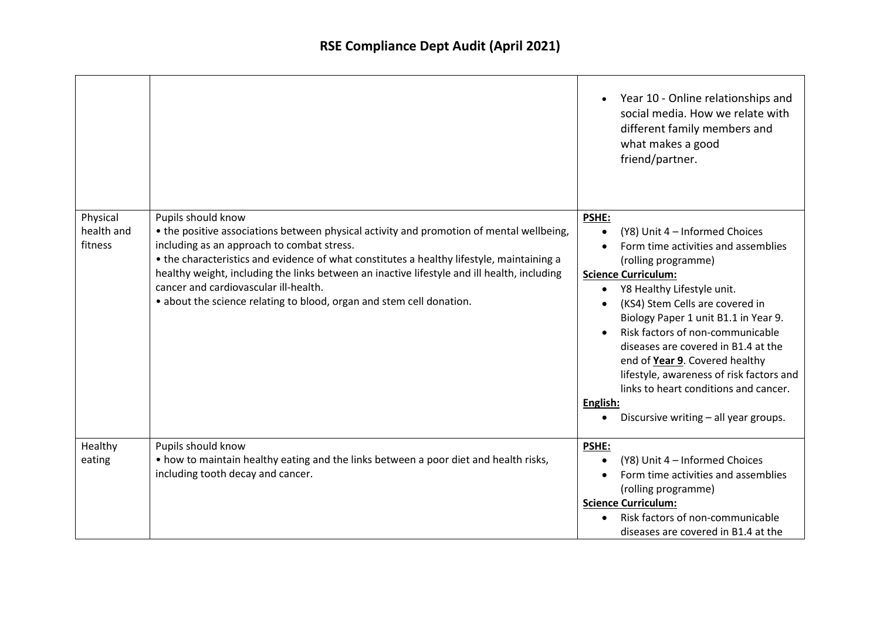|                                   |                                                                                                                                                                                                                                                                                                                                                                                                                                                                           | Year 10 - Online relationships and<br>social media. How we relate with<br>different family members and<br>what makes a good<br>friend/partner.                                                                                                                                                                                                                                                                                                                                                                                |
|-----------------------------------|---------------------------------------------------------------------------------------------------------------------------------------------------------------------------------------------------------------------------------------------------------------------------------------------------------------------------------------------------------------------------------------------------------------------------------------------------------------------------|-------------------------------------------------------------------------------------------------------------------------------------------------------------------------------------------------------------------------------------------------------------------------------------------------------------------------------------------------------------------------------------------------------------------------------------------------------------------------------------------------------------------------------|
| Physical<br>health and<br>fitness | Pupils should know<br>• the positive associations between physical activity and promotion of mental wellbeing,<br>including as an approach to combat stress.<br>• the characteristics and evidence of what constitutes a healthy lifestyle, maintaining a<br>healthy weight, including the links between an inactive lifestyle and ill health, including<br>cancer and cardiovascular ill-health.<br>• about the science relating to blood, organ and stem cell donation. | PSHE:<br>(Y8) Unit 4 - Informed Choices<br>$\bullet$<br>Form time activities and assemblies<br>(rolling programme)<br><b>Science Curriculum:</b><br>Y8 Healthy Lifestyle unit.<br>$\bullet$<br>(KS4) Stem Cells are covered in<br>Biology Paper 1 unit B1.1 in Year 9.<br>Risk factors of non-communicable<br>diseases are covered in B1.4 at the<br>end of Year 9. Covered healthy<br>lifestyle, awareness of risk factors and<br>links to heart conditions and cancer.<br>English:<br>Discursive writing - all year groups. |
| Healthy<br>eating                 | Pupils should know<br>• how to maintain healthy eating and the links between a poor diet and health risks,<br>including tooth decay and cancer.                                                                                                                                                                                                                                                                                                                           | <b>PSHE:</b><br>(Y8) Unit 4 - Informed Choices<br>$\bullet$<br>Form time activities and assemblies<br>(rolling programme)<br><b>Science Curriculum:</b><br>Risk factors of non-communicable<br>diseases are covered in B1.4 at the                                                                                                                                                                                                                                                                                            |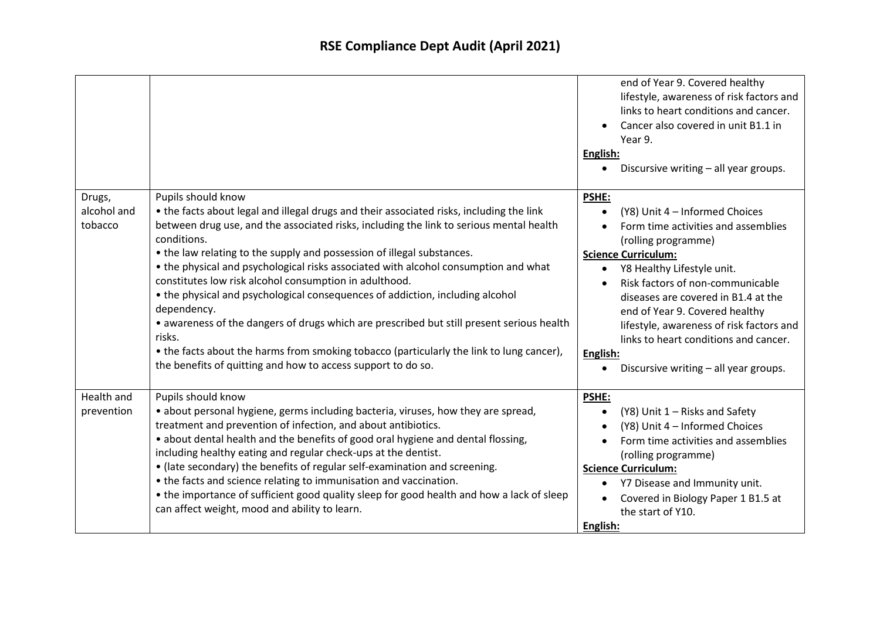|                                  |                                                                                                                                                                                                                                                                                                                                                                                                                                                                                                                                                                                                                                                                                                                                                                                                                        | end of Year 9. Covered healthy<br>lifestyle, awareness of risk factors and<br>links to heart conditions and cancer.<br>Cancer also covered in unit B1.1 in<br>Year 9.<br>English:<br>Discursive writing - all year groups.                                                                                                                                                                                                            |
|----------------------------------|------------------------------------------------------------------------------------------------------------------------------------------------------------------------------------------------------------------------------------------------------------------------------------------------------------------------------------------------------------------------------------------------------------------------------------------------------------------------------------------------------------------------------------------------------------------------------------------------------------------------------------------------------------------------------------------------------------------------------------------------------------------------------------------------------------------------|---------------------------------------------------------------------------------------------------------------------------------------------------------------------------------------------------------------------------------------------------------------------------------------------------------------------------------------------------------------------------------------------------------------------------------------|
| Drugs,<br>alcohol and<br>tobacco | Pupils should know<br>• the facts about legal and illegal drugs and their associated risks, including the link<br>between drug use, and the associated risks, including the link to serious mental health<br>conditions.<br>• the law relating to the supply and possession of illegal substances.<br>• the physical and psychological risks associated with alcohol consumption and what<br>constitutes low risk alcohol consumption in adulthood.<br>• the physical and psychological consequences of addiction, including alcohol<br>dependency.<br>• awareness of the dangers of drugs which are prescribed but still present serious health<br>risks.<br>• the facts about the harms from smoking tobacco (particularly the link to lung cancer),<br>the benefits of quitting and how to access support to do so. | PSHE:<br>(Y8) Unit 4 - Informed Choices<br>Form time activities and assemblies<br>(rolling programme)<br><b>Science Curriculum:</b><br>Y8 Healthy Lifestyle unit.<br>$\bullet$<br>Risk factors of non-communicable<br>diseases are covered in B1.4 at the<br>end of Year 9. Covered healthy<br>lifestyle, awareness of risk factors and<br>links to heart conditions and cancer.<br>English:<br>Discursive writing - all year groups. |
| Health and<br>prevention         | Pupils should know<br>• about personal hygiene, germs including bacteria, viruses, how they are spread,<br>treatment and prevention of infection, and about antibiotics.<br>• about dental health and the benefits of good oral hygiene and dental flossing,<br>including healthy eating and regular check-ups at the dentist.<br>• (late secondary) the benefits of regular self-examination and screening.<br>• the facts and science relating to immunisation and vaccination.<br>• the importance of sufficient good quality sleep for good health and how a lack of sleep<br>can affect weight, mood and ability to learn.                                                                                                                                                                                        | <b>PSHE:</b><br>(Y8) Unit 1 - Risks and Safety<br>$\bullet$<br>(Y8) Unit 4 - Informed Choices<br>Form time activities and assemblies<br>(rolling programme)<br><b>Science Curriculum:</b><br>Y7 Disease and Immunity unit.<br>Covered in Biology Paper 1 B1.5 at<br>the start of Y10.<br>English:                                                                                                                                     |